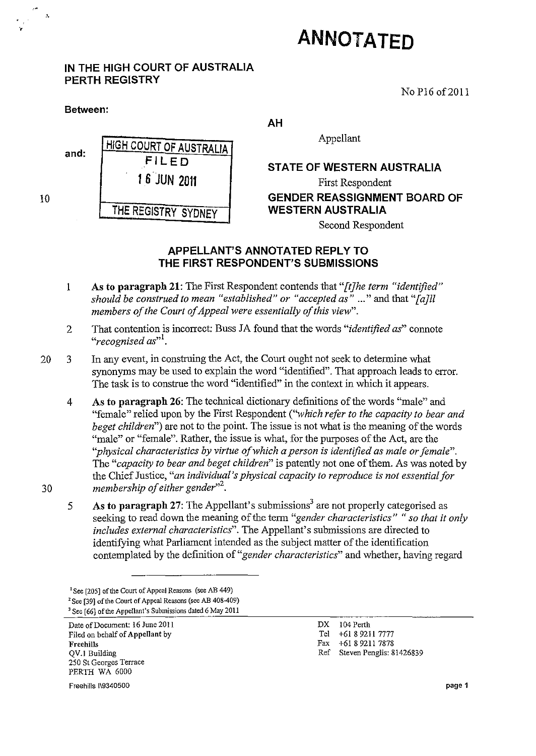## **ANNOTATED**

## **IN THE HIGH COURT OF AUSTRALIA PERTH REGISTRY**

·

 $\mathbf{v}_i$ 

**Between:** 

"

No P16 of2011

## 10 **and: HIGH COURT OF AUSTRALIA FILED f 6JUN 2011 THE REGISTRY SYDNEY AH**  Appellant **STATE OF WESTERN AUSTRALIA**  First Respondent **GENDER REASSIGNMENT BOARD OF WESTERN AUSTRALIA**

Second Respondent

## **APPELLANT'S ANNOTATED REPLY TO THE FIRST RESPONDENT'S SUBMISSIONS**

- 1 As **to paragraph 21:** The First Respondent contends that *"[tJhe term "identified" should be construed to mean "established" or "accepted as"* ... " and that *"[aJll members of the Court of Appeal were essentially of this view".*
- 2 That contention is incorrect: Buss JA found that the words *"identified as"* connote " recognised as"<sup>1</sup>.
- 20 3 In any event, in construing the Act, the Court ought not seek to determine what synonyms may be used to explain the word "identified". That approach leads to error. The task is to construe the word "identified" in the context in which it appears.
	- 4 As **to paragraph** 26: The technical dictionary definitions of the words "male" and "female" relied upon by the First Respondent *("which refer to the capacity to bear and beget children")* are not to the point. The issue is not what is the meaning of the words "male" or "female". Rather, the issue is what, for the purposes of the Act, are the *"physical characteristics by virtue of which a person is identified as male or fomale".*  The *"capacity to bear and beget children"* is patently not one of them. As was noted by the Chief Justice, *"an individual's physical capacity to reproduce is not essential for membership of either gender*<sup>32</sup>.
	- 5 As to paragraph 27: The Appellant's submissions<sup>3</sup> are not properly categorised as seeking to read down the meaning of the term *"gender characteristics"* " *so that* it *only includes external characteristics".* The Appellant's submissions are directed to identifying what Parliament intended as the subject matter of the identification contemplated by the definition of *"gender characteristics"* and whether, having regard

**3 See [66]** of the **Appellant's Submissions dated 6 May 2011**  Date of Document: 16 June 2011

Filed on behalf of Appellant by **Freehills**  QV.l Building **250 St Georges Terrace**  PERTH WA 6000

DX 104 Perth Tel +61 89211 7777 Fax +61 8 9211 7878

Ref Steven Penglis: 81426839

Freehills 1\9340500

30

page 1

**<sup>I</sup>See [205]** of the **Court of Appeal Reasons (see AB 449)**  <sup>2</sup> See [39] of the Court of Appeal Reasons (see AB 408-409)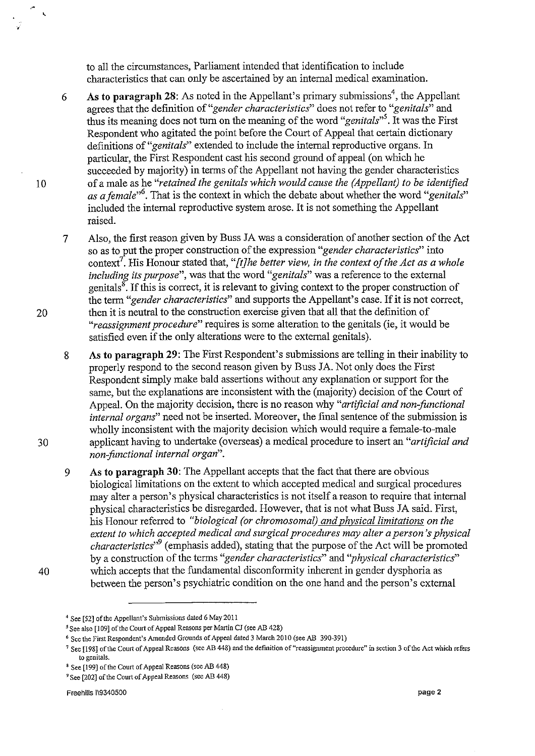to all the circumstances, Parliament intended that identification to include characteristics that can only be ascertained by an internal medical examination.

6 As to paragraph 28: As noted in the Appellant's primary submissions<sup>4</sup>, the Appellant agrees that the definition of *"gender characteristics"* does not refer to *"genitals"* and thus its meaning does not turn on the meaning of the word *"genita!s"s.* It was the First Respondent who agitated the point before the Court of Appeal that certain dictionary definitions of *"genitals"* extended to include the internal reproductive organs. In particular, the First Respondent cast his second ground of appeal (on which he succeeded by majority) in terms of the Appellant not having the gender characteristics of a male as he *"retained the genitals which would cause the (Appellant) to be identified as a female,,6.* That is the context in which the debate about whether the word *"genitals"*  included the internal reproductive system arose. It is not something the Appellant raised.

7 Also, the first reason given by Buss JA was a consideration of another section of the Act so as to put the proper construction of the expression *"gender characteristics"* into context<sup>7</sup>. His Honour stated that, "[t]he better view, in the context of the Act as a whole *including its purpose",* was that the word *"genitals"* was a reference to the external genitals<sup>8</sup>. If this is correct, it is relevant to giving context to the proper construction of the term *"gender characteristics"* and supports the Appellant's case. If it is not correct, then it is neutral to the construction exercise given that all that the definition of *"reassignment procedure"* requires is some alteration to the genitals (ie, it would be satisfied even if the only alterations were to the external genitals).

8 **As to paragraph** 29: The First Respondent's submissions are telling in their inability to properly respond to the second reason given by Buss JA. Not only does the First Respondent simply make bald assertions without any explanation or support for the same, but the explanations are inconsistent with the (majority) decision of the Court of Appeal. On the majority decision, there is no reason why *"artificial and non-functional internal organs"* need not be inserted. Moreover, the final sentence of the submission is wholly inconsistent with the majority decision which would require a female-to-male applicant having to undertake (overseas) a medical procedure to insert an *"artificial and non-functional internal organ".* 

9 As **to paragraph** 30: The Appellant accepts that the fact that there are obvious biological limitations on the extent to which accepted medical and surgical procedures may alter a person's physical characteristics is not itself a reason to require that internal physical characteristics be disregarded. However, that is not what Buss JA said. First, his Honour referred to *"biological (or chromosomal) and phvsicallimitations on the extent to which accepted medical and surgical procedures may alter a person's physical characteristics*<sup>39</sup> (emphasis added), stating that the purpose of the Act will be promoted by a construction of the terms *"gender characteristics"* and *"physical characteristics"*  which accepts that the fundamental disconforrnity inherent in gender dysphoria as between the person's psychiatric condition on the one hand and the person's external

,

10

20

30

40

**<sup>4</sup> See [52]** of the **Appellant's Submissions dated 6 May 2011** 

**<sup>5</sup> See also [109] of the Court of Appeal Reasons per Martin Cl (see AB 428)** 

**<sup>6</sup> See the First Respondent's Amended Grounds of Appeal dated 3 March 2010 (see AB 390-391)** 

**<sup>7</sup> See [198]** of the **Court of Appeal Reasons (see AB 448) and the definition** of "reassignment **procedure" in section 3** of the **Act which refers to genitals.** 

**<sup>8</sup> See [199]** of the **Court of Appeal Reasons (see AB 448)** 

<sup>9</sup>**See [202]** of the **Court of Appeal Reasons (see AB 448)**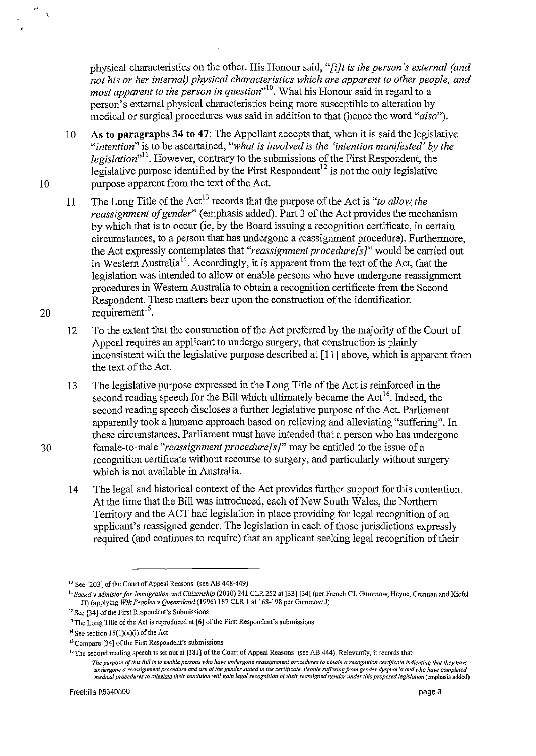physical characteristics on the other. His Honour said, "*[i]t is the person's external (and not his or her internal) physical characteristics which are apparent to other people, and most apparent to the person in question*<sup>10</sup>. What his Honour said in regard to a person's external physical characteristics being more susceptible to alteration by medical or surgical procedures was said in addition to that (hence the word *"also").* 

- 10 As to paragraphs 34 to 47: The Appellant accepts that, when it is said the legislative *"intention"* is to be ascertained, *"what is involved is the 'intention manifested' by the legislation"ll.* However, contrary to the submissions of the First Respondent, the legislative purpose identified by the First Respondent<sup>12</sup> is not the only legislative 10 purpose apparent from the text of the Act.
- 11 The Long Title of the Act13 records that the purpose of the Act is *"to allow the reassignment of gender"* (emphasis added). Part 3 of the Act provides the mechanism by which that is to occur (ie, by the Board issuing a recognition certificate, in certain circumstances, to a person that has undergone a reassigmnent procedure). Furthermore, the Act expressly contemplates that *"reassignment procedure[s]"* would be carried out in Western Australia<sup>14</sup>. Accordingly, it is apparent from the text of the Act, that the legislation was intended to allow or enable persons who have undergone reassignment procedures in Western Australia to obtain a recognition certificate from the Second Respondent. These matters bear upon the construction of the identification 20 requirement<sup>15</sup>.
	- 12 To the extent that the construction of the Act preferred by the majority of the Court of Appeal requires an applicant to undergo surgery, that construction is plainly inconsistent with the legislative purpose described at [11] above, which is apparent from the text of the Act.
- 13 The legislative purpose expressed in the Long Title of the Act is reinforced in the second reading speech for the Bill which ultimately became the  $Act^{16}$ . Indeed, the second reading speech discloses a further legislative purpose of the Act. Parliament apparently took a humane approach based on relieving and alleviating "suffering". In these circumstances, Parliament must have intended that a person who has undergone 30 female-to-male *"reassignment procedure[s]"* may be entitled to the issue of a recognition certificate without recourse to surgery, and particularly without surgery which is not available in Australia.
	- 14 The legal and historical context of the Act provides further support for this contention. At the time that the Bill was introduced, each of New South Wales, the Northern Territory and the ACT had legislation in place providing for legal recognition of an applicant's reassigned gender. The legislation in each of those jurisdictions expressly required (and continues to require) that an applicant seeking legal recognition of their

,  $\mathbf{r}$ 

,< '.

<sup>10</sup> See [203] of the Court of Appeal Reasons (see AB 448-449)

<sup>11</sup>*Saeedv Minister for Immigration and Citizenship* (2010) 241 CLR 252 at [33]-[34] (per French CJ, Gummow, Hayne, Crennan and Kiefel J1) (applying *Wik Peoples* v *Queensland* (1996) 187 CLR 1 at 168-198 per Gummow J)

<sup>&</sup>lt;sup>12</sup> See [34] of the First Respondent's Submissions

<sup>&</sup>lt;sup>13</sup> The Long Title of the Act is reproduced at [6] of the First Respondent's submissions

 $14$  See section 15(1)(a)(i) of the Act

<sup>&</sup>lt;sup>15</sup> Compare [34] of the First Respondent's submissions

<sup>&</sup>lt;sup>16</sup> The second reading speech is set out at [181] of the Court of Appeal Reasons (see AB 444). Relevantly, it records that:

*The purpose of this Bill is to enable persons who have undergone reassignment procedures to obtain a recognition certificate indicating that they hove*  undergone a reassignment procedure and are of the gender stated in the certificate. People <u>suffering</u> from gender dysphoria and who have completed<br>medical procedures to <u>alleviate</u> their condition will gain legal recognit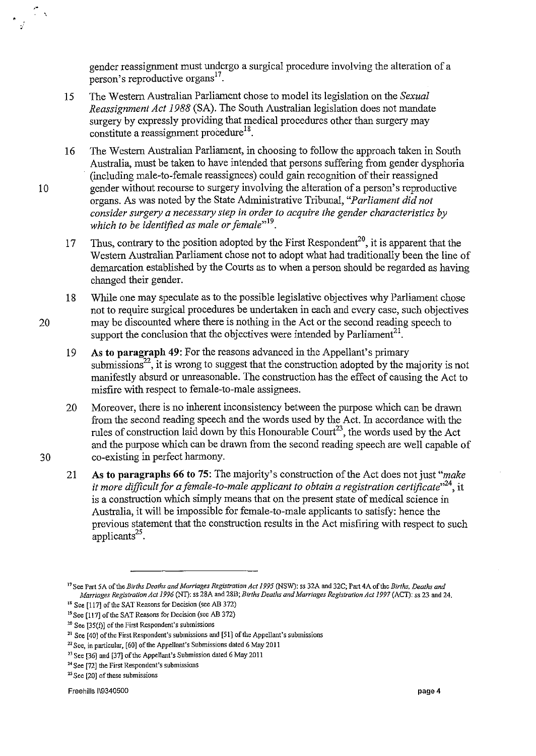gender reassignment must undergo a surgical procedure involving the alteration of a nerson's reproductive organs<sup>17</sup>.

- 15 The Western Australian Parliament chose to model its legislation on the *Sexual Reassignment Act* 1988 (SA). The South Australian legislation does not mandate surgery by expressly providing that medical procedures other than surgery may constitute a reassignment procedure<sup>18</sup>.
- 16 The Western Australian Parliament, in choosing to follow the approach taken in South Australia, must be taken to have intended that persons suffering from gender dysphoria (including male-to-female reassignees) could gain recognition of their reassigned 10 gender without recourse to surgery involving the alteration of a person's reproductive organs. As was noted by the State Administrative Tribunal, *"Parliament did not consider surgery a necessary step in order to acquire the gender characteristics by*  which to be identified as male or female<sup>,,19</sup>.
	- 17 Thus, contrary to the position adopted by the First Respondent<sup>20</sup>, it is apparent that the Western Australian Parliament chose not to adopt what had traditionally been the line of demarcation established by the Courts as to when a person should be regarded as having changed their gender.
- 18 While one may speculate as to the possible legislative objectives why Parliament chose not to require surgical procedures be undertaken in each and every case, such objectives 20 may be discounted where there is nothing in the Act or the second reading speech to support the conclusion that the objectives were intended by Parliament<sup>21</sup>.
	- 19 As **to paragraph 49:** For the reasons advanced in the Appellant's primary submissions22, it is wrong to suggest that the construction adopted by **the** majority is not manifestly absurd or unreasonable. The construction has the effect of causing the Act to misfire with respect to female-to-male assignees.
- 20 Moreover, there is no inherent inconsistency between the purpose which can be drawn from the second reading speech and the words used by the Act. In accordance with the rules of construction laid down by this Honourable Court<sup>23</sup>, the words used by the Act and the purpose which can be drawn from the second reading speech are well capable of 30 co-existing in perfect harmony.
	- 21 As **to paragraphs 66 to 75:** The majority's construction of the Act does not just *"make it more difficult for a female-to-male applicant to obtain a registration certificate*<sup>24</sup>, it is a construction which simply means that on the present state of medical science in Australia, it will be impossible for female-to-male applicants to satisfy: hence the previous statement that the construction results in the Act misfiring with respect to such applicants $^{25}$ .

Freehills 119340500 **page4** 

\

**<sup>17</sup> See Part SA** of the *Births Deaths and Marriages Registration Act* **1995 (NSW): ss 32A and 32C; Part 4A** of the *Births, Deaths and Marriages Registration Act* **1996 (NT): ss 2&A and 28B;** *Births Deaths and Marriages Registration Act* **1997 (ACT): ss 23 and 24.** 

<sup>&</sup>lt;sup>18</sup> See [117] of the SAT Reasons for Decision (see AB 372)

<sup>&</sup>lt;sup>19</sup> See [117] of the SAT Reasons for Decision (see AB 372)

**<sup>20</sup> See [35(f)]** of the **First Respondent's submissions** 

**<sup>21</sup> See [40]** of the **First Respondent's submissions and [51]** of the **Appellant's submissions** 

**<sup>22</sup> See, in particular, [60]** of the **Appellant's Submissions dated 6 May 2011** 

**<sup>23</sup> See [36] and [37]** of the **Appellant's Submission dated 6 May 2011** 

**<sup>24</sup> See [72] the First Respondent's submissions** 

**<sup>2</sup>S See [20] of these submissions**